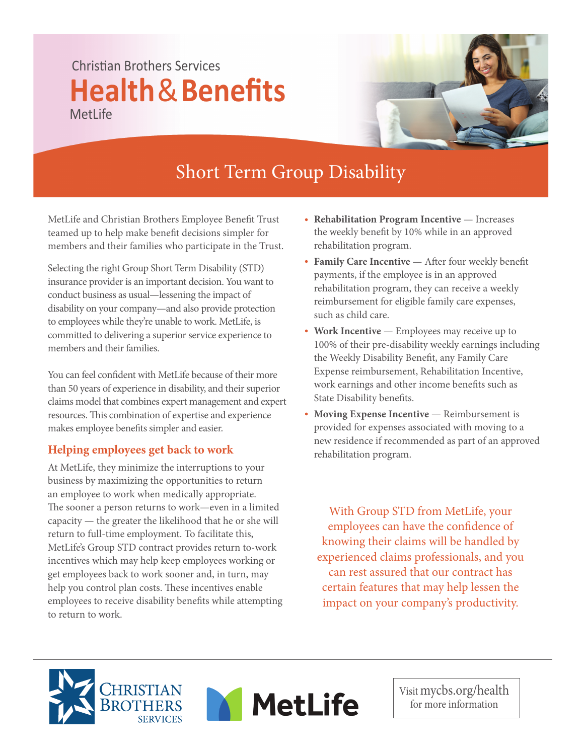## Christian Brothers Services **Health**&**Benefits** MetLife



## Short Term Group Disability

MetLife and Christian Brothers Employee Benefit Trust teamed up to help make benefit decisions simpler for members and their families who participate in the Trust.

Selecting the right Group Short Term Disability (STD) insurance provider is an important decision. You want to conduct business as usual—lessening the impact of disability on your company—and also provide protection to employees while they're unable to work. MetLife, is committed to delivering a superior service experience to members and their families.

You can feel confident with MetLife because of their more than 50 years of experience in disability, and their superior claims model that combines expert management and expert resources. This combination of expertise and experience makes employee benefits simpler and easier.

## **Helping employees get back to work**

At MetLife, they minimize the interruptions to your business by maximizing the opportunities to return an employee to work when medically appropriate. The sooner a person returns to work—even in a limited capacity — the greater the likelihood that he or she will return to full-time employment. To facilitate this, MetLife's Group STD contract provides return to-work incentives which may help keep employees working or get employees back to work sooner and, in turn, may help you control plan costs. These incentives enable employees to receive disability benefits while attempting to return to work.

- **Rehabilitation Program Incentive** Increases the weekly benefit by 10% while in an approved rehabilitation program.
- Family Care Incentive After four weekly benefit payments, if the employee is in an approved rehabilitation program, they can receive a weekly reimbursement for eligible family care expenses, such as child care.
- **Work Incentive** Employees may receive up to 100% of their pre-disability weekly earnings including the Weekly Disability Benefit, any Family Care Expense reimbursement, Rehabilitation Incentive, work earnings and other income benefits such as State Disability benefits.
- **Moving Expense Incentive** Reimbursement is provided for expenses associated with moving to a new residence if recommended as part of an approved rehabilitation program.

With Group STD from MetLife, your employees can have the confidence of knowing their claims will be handled by experienced claims professionals, and you can rest assured that our contract has certain features that may help lessen the impact on your company's productivity.





Visit mycbs.org/health for more information